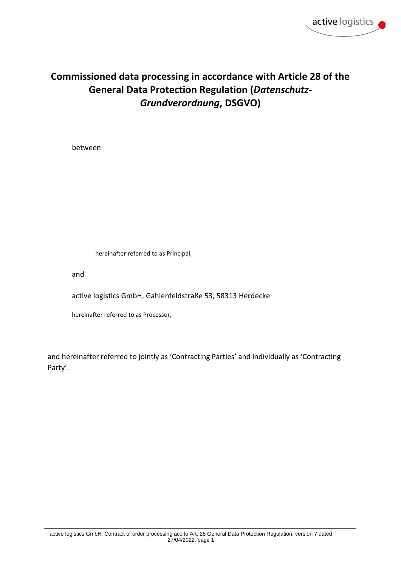# **Commissioned data processing in accordance with Article 28 of the General Data Protection Regulation (***Datenschutz-Grundverordnung***, DSGVO)**

between

hereinafter referred to as Principal,

and

active logistics GmbH, Gahlenfeldstraße 53, 58313 Herdecke

hereinafter referred to as Processor,

and hereinafter referred to jointly as 'Contracting Parties' and individually as 'Contracting Party'.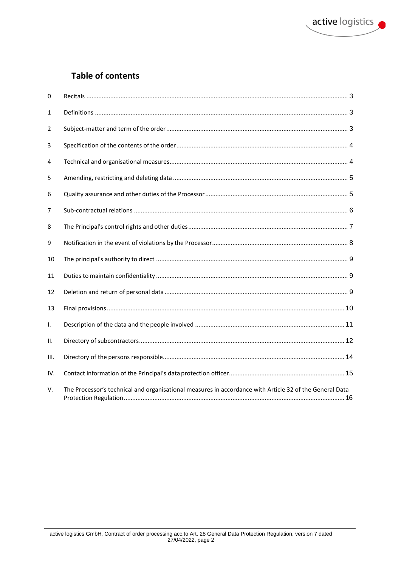## **Table of contents**

| 0    |                                                                                                         |  |
|------|---------------------------------------------------------------------------------------------------------|--|
| 1    |                                                                                                         |  |
| 2    |                                                                                                         |  |
| 3    |                                                                                                         |  |
| 4    |                                                                                                         |  |
| 5    |                                                                                                         |  |
| 6    |                                                                                                         |  |
| 7    |                                                                                                         |  |
| 8    |                                                                                                         |  |
| 9    |                                                                                                         |  |
| 10   |                                                                                                         |  |
| 11   |                                                                                                         |  |
| 12   |                                                                                                         |  |
| 13   |                                                                                                         |  |
| Τ.   |                                                                                                         |  |
| Ш.   |                                                                                                         |  |
| III. |                                                                                                         |  |
| IV.  |                                                                                                         |  |
| V.   | The Processor's technical and organisational measures in accordance with Article 32 of the General Data |  |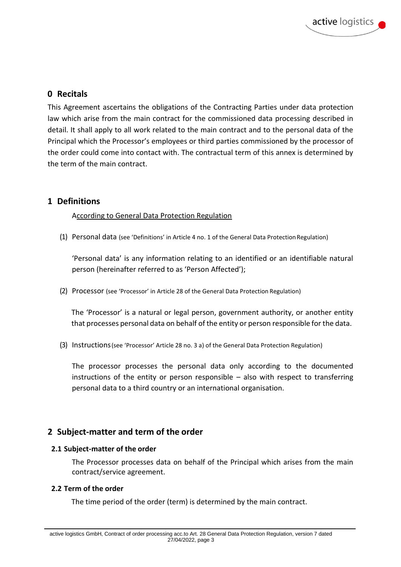### **0 Recitals**

This Agreement ascertains the obligations of the Contracting Parties under data protection law which arise from the main contract for the commissioned data processing described in detail. It shall apply to all work related to the main contract and to the personal data of the Principal which the Processor's employees or third parties commissioned by the processor of the order could come into contact with. The contractual term of this annex is determined by the term of the main contract.

#### **1 Definitions**

#### According to General Data Protection Regulation

(1) Personal data (see 'Definitions' in Article 4 no. 1 of the General Data ProtectionRegulation)

'Personal data' is any information relating to an identified or an identifiable natural person (hereinafter referred to as 'Person Affected');

(2) Processor (see 'Processor' in Article 28 of the General Data Protection Regulation)

The 'Processor' is a natural or legal person, government authority, or another entity that processes personal data on behalf of the entity or person responsible for the data.

(3) Instructions(see 'Processor' Article 28 no. 3 a) of the General Data Protection Regulation)

The processor processes the personal data only according to the documented instructions of the entity or person responsible – also with respect to transferring personal data to a third country or an international organisation.

### **2 Subject-matter and term of the order**

#### **2.1 Subject-matter of the order**

The Processor processes data on behalf of the Principal which arises from the main contract/service agreement.

#### **2.2 Term of the order**

The time period of the order (term) is determined by the main contract.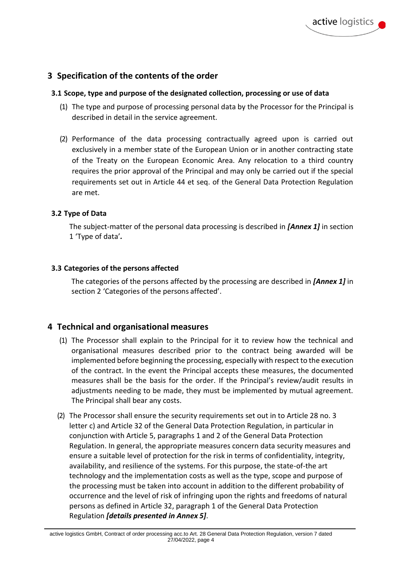### **3 Specification of the contents of the order**

#### **3.1 Scope, type and purpose of the designated collection, processing or use of data**

- (1) The type and purpose of processing personal data by the Processor for the Principal is described in detail in the service agreement.
- (2) Performance of the data processing contractually agreed upon is carried out exclusively in a member state of the European Union or in another contracting state of the Treaty on the European Economic Area. Any relocation to a third country requires the prior approval of the Principal and may only be carried out if the special requirements set out in Article 44 et seq. of the General Data Protection Regulation are met.

#### **3.2 Type of Data**

The subject-matter of the personal data processing is described in *[Annex 1]* in section 1 'Type of data'*.*

#### **3.3 Categories of the persons affected**

The categories of the persons affected by the processing are described in *[Annex 1]* in section 2 'Categories of the persons affected'.

#### **4 Technical and organisational measures**

- (1) The Processor shall explain to the Principal for it to review how the technical and organisational measures described prior to the contract being awarded will be implemented before beginning the processing, especially with respect to the execution of the contract. In the event the Principal accepts these measures, the documented measures shall be the basis for the order. If the Principal's review/audit results in adjustments needing to be made, they must be implemented by mutual agreement. The Principal shall bear any costs.
- (2) The Processor shall ensure the security requirements set out in to Article 28 no. 3 letter c) and Article 32 of the General Data Protection Regulation, in particular in conjunction with Article 5, paragraphs 1 and 2 of the General Data Protection Regulation. In general, the appropriate measures concern data security measures and ensure a suitable level of protection for the risk in terms of confidentiality, integrity, availability, and resilience of the systems. For this purpose, the state-of-the art technology and the implementation costs as well as the type, scope and purpose of the processing must be taken into account in addition to the different probability of occurrence and the level of risk of infringing upon the rights and freedoms of natural persons as defined in Article 32, paragraph 1 of the General Data Protection Regulation *[details presented in Annex 5]*.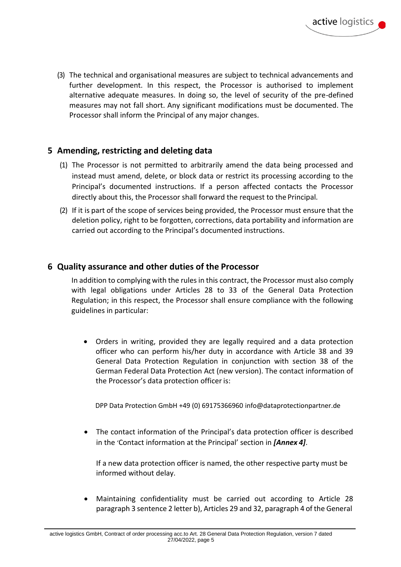(3) The technical and organisational measures are subject to technical advancements and further development. In this respect, the Processor is authorised to implement alternative adequate measures. In doing so, the level of security of the pre-defined measures may not fall short. Any significant modifications must be documented. The Processor shall inform the Principal of any major changes.

### **5 Amending, restricting and deleting data**

- (1) The Processor is not permitted to arbitrarily amend the data being processed and instead must amend, delete, or block data or restrict its processing according to the Principal's documented instructions. If a person affected contacts the Processor directly about this, the Processor shall forward the request to the Principal.
- (2) If it is part of the scope of services being provided, the Processor must ensure that the deletion policy, right to be forgotten, corrections, data portability and information are carried out according to the Principal's documented instructions.

### **6 Quality assurance and other duties of the Processor**

In addition to complying with the rules in this contract, the Processor must also comply with legal obligations under Articles 28 to 33 of the General Data Protection Regulation; in this respect, the Processor shall ensure compliance with the following guidelines in particular:

• Orders in writing, provided they are legally required and a data protection officer who can perform his/her duty in accordance with Article 38 and 39 General Data Protection Regulation in conjunction with section 38 of the German Federal Data Protection Act (new version). The contact information of the Processor's data protection officer is:

DPP Data Protection GmbH +49 (0) 69175366960 info@dataprotectionpartner.de

• The contact information of the Principal's data protection officer is described in the 'Contact information at the Principal' section in *[Annex 4]*.

If a new data protection officer is named, the other respective party must be informed without delay.

• Maintaining confidentiality must be carried out according to Article 28 paragraph 3 sentence 2 letter b), Articles 29 and 32, paragraph 4 of the General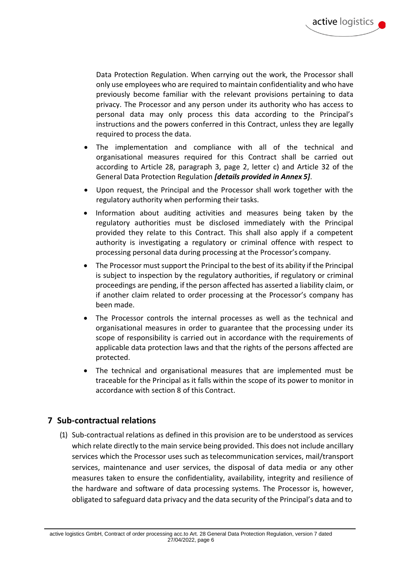Data Protection Regulation. When carrying out the work, the Processor shall only use employees who are required to maintain confidentiality and who have previously become familiar with the relevant provisions pertaining to data privacy. The Processor and any person under its authority who has access to personal data may only process this data according to the Principal's instructions and the powers conferred in this Contract, unless they are legally required to process the data.

- The implementation and compliance with all of the technical and organisational measures required for this Contract shall be carried out according to Article 28, paragraph 3, page 2, letter c) and Article 32 of the General Data Protection Regulation *[details provided in Annex 5]*.
- Upon request, the Principal and the Processor shall work together with the regulatory authority when performing their tasks.
- Information about auditing activities and measures being taken by the regulatory authorities must be disclosed immediately with the Principal provided they relate to this Contract. This shall also apply if a competent authority is investigating a regulatory or criminal offence with respect to processing personal data during processing at the Processor's company.
- The Processor must support the Principal to the best of its ability if the Principal is subject to inspection by the regulatory authorities, if regulatory or criminal proceedings are pending, if the person affected has asserted a liability claim, or if another claim related to order processing at the Processor's company has been made.
- The Processor controls the internal processes as well as the technical and organisational measures in order to guarantee that the processing under its scope of responsibility is carried out in accordance with the requirements of applicable data protection laws and that the rights of the persons affected are protected.
- The technical and organisational measures that are implemented must be traceable for the Principal as it falls within the scope of its power to monitor in accordance with section 8 of this Contract.

### **7 Sub-contractual relations**

(1) Sub-contractual relations as defined in this provision are to be understood as services which relate directly to the main service being provided. This does not include ancillary services which the Processor uses such as telecommunication services, mail/transport services, maintenance and user services, the disposal of data media or any other measures taken to ensure the confidentiality, availability, integrity and resilience of the hardware and software of data processing systems. The Processor is, however, obligated to safeguard data privacy and the data security of the Principal's data and to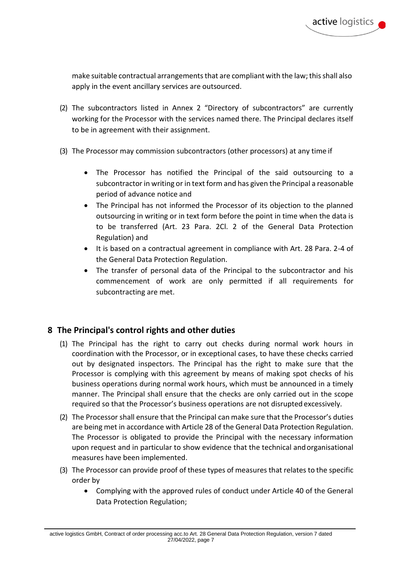make suitable contractual arrangements that are compliant with the law; this shall also apply in the event ancillary services are outsourced.

- (2) The subcontractors listed in Annex 2 "Directory of subcontractors" are currently working for the Processor with the services named there. The Principal declares itself to be in agreement with their assignment.
- (3) The Processor may commission subcontractors (other processors) at any time if
	- The Processor has notified the Principal of the said outsourcing to a subcontractor in writing or in text form and has given the Principal a reasonable period of advance notice and
	- The Principal has not informed the Processor of its objection to the planned outsourcing in writing or in text form before the point in time when the data is to be transferred (Art. 23 Para. 2Cl. 2 of the General Data Protection Regulation) and
	- It is based on a contractual agreement in compliance with Art. 28 Para. 2-4 of the General Data Protection Regulation.
	- The transfer of personal data of the Principal to the subcontractor and his commencement of work are only permitted if all requirements for subcontracting are met.

### **8 The Principal's control rights and other duties**

- (1) The Principal has the right to carry out checks during normal work hours in coordination with the Processor, or in exceptional cases, to have these checks carried out by designated inspectors. The Principal has the right to make sure that the Processor is complying with this agreement by means of making spot checks of his business operations during normal work hours, which must be announced in a timely manner. The Principal shall ensure that the checks are only carried out in the scope required so that the Processor's business operations are not disrupted excessively.
- (2) The Processor shall ensure that the Principal can make sure that the Processor's duties are being met in accordance with Article 28 of the General Data Protection Regulation. The Processor is obligated to provide the Principal with the necessary information upon request and in particular to show evidence that the technical andorganisational measures have been implemented.
- (3) The Processor can provide proof of these types of measures that relates to the specific order by
	- Complying with the approved rules of conduct under Article 40 of the General Data Protection Regulation;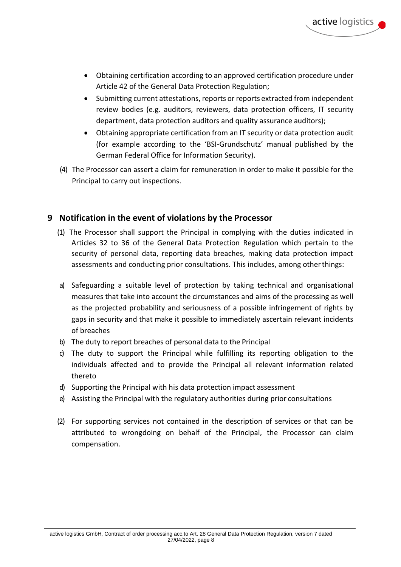- Obtaining certification according to an approved certification procedure under Article 42 of the General Data Protection Regulation;
- Submitting current attestations, reports or reports extracted from independent review bodies (e.g. auditors, reviewers, data protection officers, IT security department, data protection auditors and quality assurance auditors);
- Obtaining appropriate certification from an IT security or data protection audit (for example according to the 'BSI-Grundschutz' manual published by the German Federal Office for Information Security).
- (4) The Processor can assert a claim for remuneration in order to make it possible for the Principal to carry out inspections.

### **9 Notification in the event of violations by the Processor**

- (1) The Processor shall support the Principal in complying with the duties indicated in Articles 32 to 36 of the General Data Protection Regulation which pertain to the security of personal data, reporting data breaches, making data protection impact assessments and conducting prior consultations. This includes, among otherthings:
- a) Safeguarding a suitable level of protection by taking technical and organisational measures that take into account the circumstances and aims of the processing as well as the projected probability and seriousness of a possible infringement of rights by gaps in security and that make it possible to immediately ascertain relevant incidents of breaches
- b) The duty to report breaches of personal data to the Principal
- c) The duty to support the Principal while fulfilling its reporting obligation to the individuals affected and to provide the Principal all relevant information related thereto
- d) Supporting the Principal with his data protection impact assessment
- e) Assisting the Principal with the regulatory authorities during prior consultations
- (2) For supporting services not contained in the description of services or that can be attributed to wrongdoing on behalf of the Principal, the Processor can claim compensation.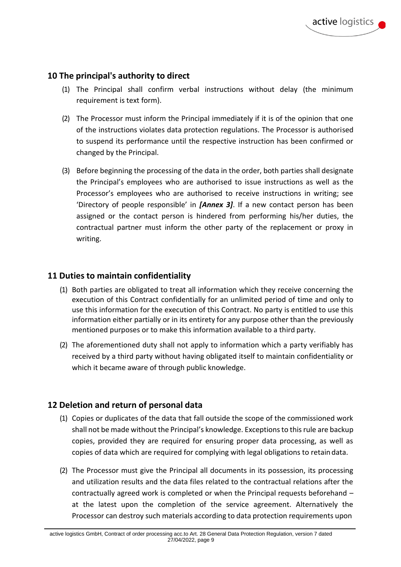#### **10 The principal's authority to direct**

- (1) The Principal shall confirm verbal instructions without delay (the minimum requirement is text form).
- (2) The Processor must inform the Principal immediately if it is of the opinion that one of the instructions violates data protection regulations. The Processor is authorised to suspend its performance until the respective instruction has been confirmed or changed by the Principal.
- (3) Before beginning the processing of the data in the order, both parties shall designate the Principal's employees who are authorised to issue instructions as well as the Processor's employees who are authorised to receive instructions in writing; see 'Directory of people responsible' in *[Annex 3]*. If a new contact person has been assigned or the contact person is hindered from performing his/her duties, the contractual partner must inform the other party of the replacement or proxy in writing.

#### **11 Duties to maintain confidentiality**

- (1) Both parties are obligated to treat all information which they receive concerning the execution of this Contract confidentially for an unlimited period of time and only to use this information for the execution of this Contract. No party is entitled to use this information either partially or in its entirety for any purpose other than the previously mentioned purposes or to make this information available to a third party.
- (2) The aforementioned duty shall not apply to information which a party verifiably has received by a third party without having obligated itself to maintain confidentiality or which it became aware of through public knowledge.

### **12 Deletion and return of personal data**

- (1) Copies or duplicates of the data that fall outside the scope of the commissioned work shall not be made without the Principal's knowledge. Exceptionsto thisrule are backup copies, provided they are required for ensuring proper data processing, as well as copies of data which are required for complying with legal obligations to retaindata.
- (2) The Processor must give the Principal all documents in its possession, its processing and utilization results and the data files related to the contractual relations after the contractually agreed work is completed or when the Principal requests beforehand – at the latest upon the completion of the service agreement. Alternatively the Processor can destroy such materials according to data protection requirements upon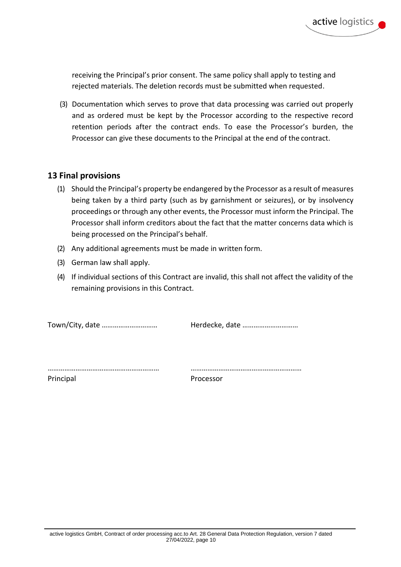receiving the Principal's prior consent. The same policy shall apply to testing and rejected materials. The deletion records must be submitted when requested.

(3) Documentation which serves to prove that data processing was carried out properly and as ordered must be kept by the Processor according to the respective record retention periods after the contract ends. To ease the Processor's burden, the Processor can give these documents to the Principal at the end of the contract.

### **13 Final provisions**

- (1) Should the Principal's property be endangered by the Processor as a result of measures being taken by a third party (such as by garnishment or seizures), or by insolvency proceedings or through any other events, the Processor must inform the Principal. The Processor shall inform creditors about the fact that the matter concerns data which is being processed on the Principal's behalf.
- (2) Any additional agreements must be made in written form.
- (3) German law shall apply.
- (4) If individual sections of this Contract are invalid, this shall not affect the validity of the remaining provisions in this Contract.

Town/City, date ………………………… Herdecke, date …………………………

…………………………………………………… …………………………………………………… Principal Processor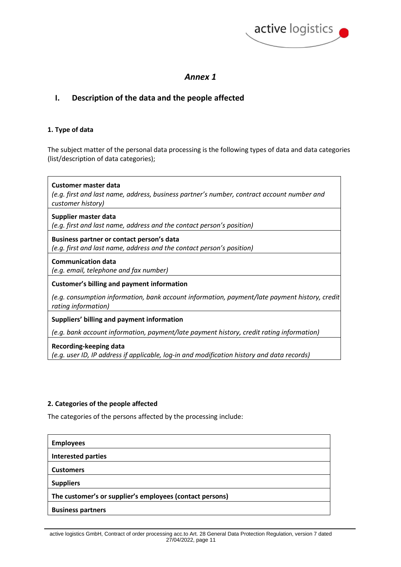

#### **I. Description of the data and the people affected**

#### **1. Type of data**

The subject matter of the personal data processing is the following types of data and data categories (list/description of data categories);

| Customer master data<br>(e.g. first and last name, address, business partner's number, contract account number and<br>customer history) |
|-----------------------------------------------------------------------------------------------------------------------------------------|
| Supplier master data                                                                                                                    |
| (e.g. first and last name, address and the contact person's position)                                                                   |
| Business partner or contact person's data                                                                                               |
| (e.g. first and last name, address and the contact person's position)                                                                   |
| <b>Communication data</b><br>(e.g. email, telephone and fax number)                                                                     |
| <b>Customer's billing and payment information</b>                                                                                       |
| (e.g. consumption information, bank account information, payment/late payment history, credit)<br>rating information)                   |
| Suppliers' billing and payment information                                                                                              |
| (e.g. bank account information, payment/late payment history, credit rating information)                                                |
| Recording-keeping data                                                                                                                  |

*(e.g. user ID, IP address if applicable, log-in and modification history and data records)*

#### **2. Categories of the people affected**

The categories of the persons affected by the processing include:

| <b>Employees</b>                                         |  |
|----------------------------------------------------------|--|
| <b>Interested parties</b>                                |  |
| <b>Customers</b>                                         |  |
| <b>Suppliers</b>                                         |  |
| The customer's or supplier's employees (contact persons) |  |
| <b>Business partners</b>                                 |  |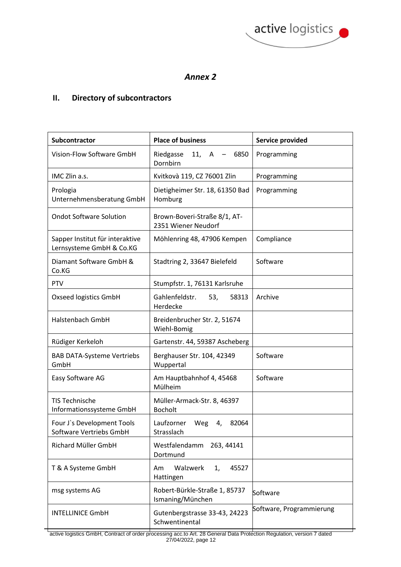

### **II. Directory of subcontractors**

| Subcontractor                                               | <b>Place of business</b>                            | Service provided         |
|-------------------------------------------------------------|-----------------------------------------------------|--------------------------|
| Vision-Flow Software GmbH                                   | Riedgasse<br>11, A<br>6850<br>Dornbirn              | Programming              |
| IMC Zlin a.s.                                               | Kvitkovà 119, CZ 76001 Zlin                         | Programming              |
| Prologia<br>Unternehmensberatung GmbH                       | Dietigheimer Str. 18, 61350 Bad<br>Homburg          | Programming              |
| <b>Ondot Software Solution</b>                              | Brown-Boveri-Straße 8/1, AT-<br>2351 Wiener Neudorf |                          |
| Sapper Institut für interaktive<br>Lernsysteme GmbH & Co.KG | Möhlenring 48, 47906 Kempen                         | Compliance               |
| Diamant Software GmbH &<br>Co.KG                            | Stadtring 2, 33647 Bielefeld                        | Software                 |
| PTV                                                         | Stumpfstr. 1, 76131 Karlsruhe                       |                          |
| Oxseed logistics GmbH                                       | Gahlenfeldstr.<br>53,<br>58313<br>Herdecke          | Archive                  |
| Halstenbach GmbH                                            | Breidenbrucher Str. 2, 51674<br>Wiehl-Bomig         |                          |
| Rüdiger Kerkeloh                                            | Gartenstr. 44, 59387 Ascheberg                      |                          |
| <b>BAB DATA-Systeme Vertriebs</b><br>GmbH                   | Berghauser Str. 104, 42349<br>Wuppertal             | Software                 |
| Easy Software AG                                            | Am Hauptbahnhof 4, 45468<br>Mülheim                 | Software                 |
| <b>TIS Technische</b><br>Informationssysteme GmbH           | Müller-Armack-Str. 8, 46397<br><b>Bocholt</b>       |                          |
| Four J's Development Tools<br>Software Vertriebs GmbH       | Laufzorner Weg<br>82064<br>4,<br>Strasslach         |                          |
| Richard Müller GmbH                                         | Westfalendamm 263, 44141<br>Dortmund                |                          |
| T & A Systeme GmbH                                          | Walzwerk<br>1,<br>45527<br>Am<br>Hattingen          |                          |
| msg systems AG                                              | Robert-Bürkle-Straße 1, 85737<br>Ismaning/München   | Software                 |
| <b>INTELLINICE GmbH</b>                                     | Gutenbergstrasse 33-43, 24223<br>Schwentinental     | Software, Programmierung |

active logistics GmbH, Contract of order processing acc.to Art. 28 General Data Protection Regulation, version 7 dated 27/04/2022, page 12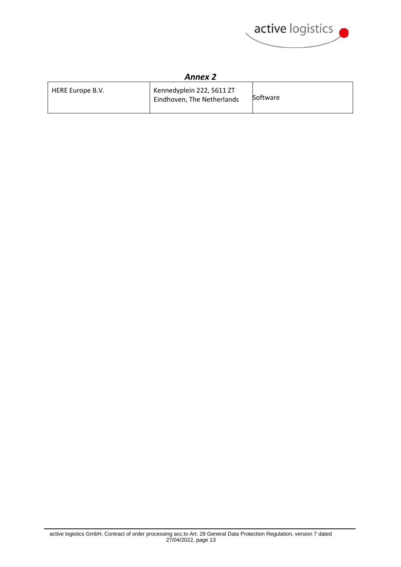

| HERE Europe B.V. | Kennedyplein 222, 5611 ZT<br>Eindhoven, The Netherlands | <b>Software</b> |
|------------------|---------------------------------------------------------|-----------------|
|                  |                                                         |                 |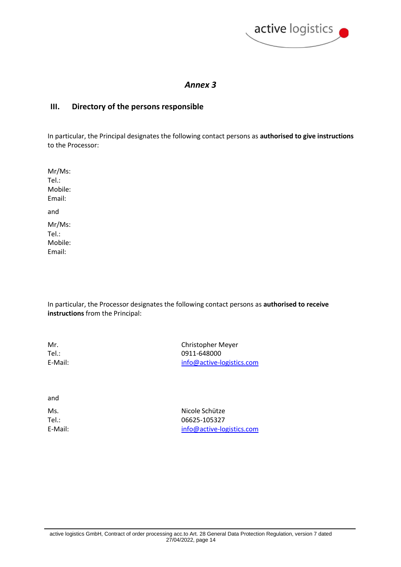

#### **III. Directory of the persons responsible**

In particular, the Principal designates the following contact persons as **authorised to give instructions** to the Processor:

Mr/Ms: Tel.: Mobile: Email: and Mr/Ms: Tel.:

Mobile: Email:

In particular, the Processor designates the following contact persons as **authorised to receive instructions** from the Principal:

| Mr.     | Christopher Meyer         |
|---------|---------------------------|
| Tel.:   | 0911-648000               |
| E-Mail: | info@active-logistics.com |
|         |                           |

and

Ms. Nicole Schütze Tel.: 06625-105327 E-Mail: info@active-logistics.com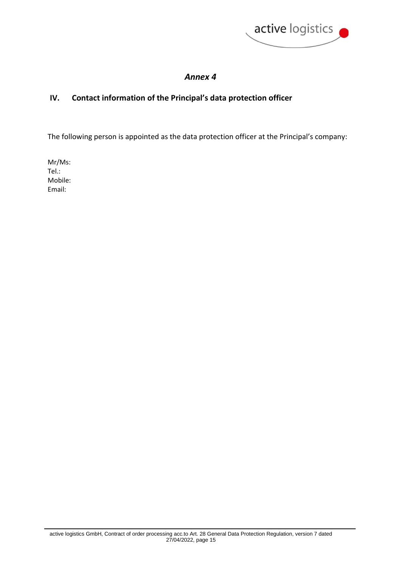

### **IV. Contact information of the Principal's data protection officer**

The following person is appointed as the data protection officer at the Principal's company:

Mr/Ms: Tel.: Mobile: Email: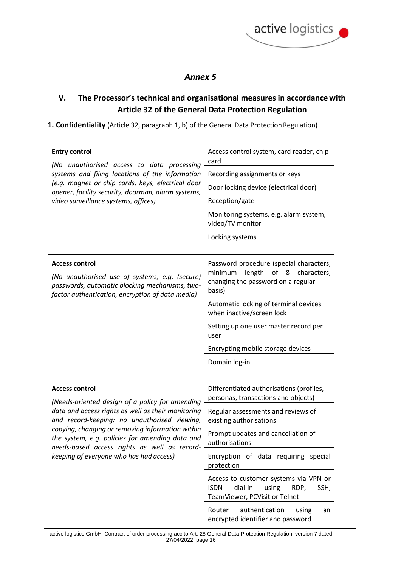

## **V. The Processor's technical and organisational measures in accordancewith Article 32 of the General Data Protection Regulation**

#### 1. Confidentiality (Article 32, paragraph 1, b) of the General Data Protection Regulation)

| <b>Entry control</b>                                                                                                                                                                                                                                                                                                                                                             | Access control system, card reader, chip<br>card                                                                                       |
|----------------------------------------------------------------------------------------------------------------------------------------------------------------------------------------------------------------------------------------------------------------------------------------------------------------------------------------------------------------------------------|----------------------------------------------------------------------------------------------------------------------------------------|
| (No unauthorised access to data processing<br>systems and filing locations of the information                                                                                                                                                                                                                                                                                    | Recording assignments or keys                                                                                                          |
| (e.g. magnet or chip cards, keys, electrical door<br>opener, facility security, doorman, alarm systems,                                                                                                                                                                                                                                                                          | Door locking device (electrical door)                                                                                                  |
| video surveillance systems, offices)                                                                                                                                                                                                                                                                                                                                             | Reception/gate                                                                                                                         |
|                                                                                                                                                                                                                                                                                                                                                                                  | Monitoring systems, e.g. alarm system,<br>video/TV monitor                                                                             |
|                                                                                                                                                                                                                                                                                                                                                                                  | Locking systems                                                                                                                        |
| <b>Access control</b><br>(No unauthorised use of systems, e.g. (secure)<br>passwords, automatic blocking mechanisms, two-<br>factor authentication, encryption of data media)                                                                                                                                                                                                    | Password procedure (special characters,<br>of<br>minimum<br>length<br>8<br>characters,<br>changing the password on a regular<br>basis) |
|                                                                                                                                                                                                                                                                                                                                                                                  | Automatic locking of terminal devices<br>when inactive/screen lock                                                                     |
|                                                                                                                                                                                                                                                                                                                                                                                  | Setting up one user master record per<br>user                                                                                          |
|                                                                                                                                                                                                                                                                                                                                                                                  | Encrypting mobile storage devices                                                                                                      |
|                                                                                                                                                                                                                                                                                                                                                                                  | Domain log-in                                                                                                                          |
| <b>Access control</b><br>(Needs-oriented design of a policy for amending<br>data and access rights as well as their monitoring<br>and record-keeping: no unauthorised viewing,<br>copying, changing or removing information within<br>the system, e.g. policies for amending data and<br>needs-based access rights as well as record-<br>keeping of everyone who has had access) | Differentiated authorisations (profiles,<br>personas, transactions and objects)                                                        |
|                                                                                                                                                                                                                                                                                                                                                                                  | Regular assessments and reviews of<br>existing authorisations                                                                          |
|                                                                                                                                                                                                                                                                                                                                                                                  | Prompt updates and cancellation of<br>authorisations                                                                                   |
|                                                                                                                                                                                                                                                                                                                                                                                  | Encryption of data requiring special<br>protection                                                                                     |
|                                                                                                                                                                                                                                                                                                                                                                                  | Access to customer systems via VPN or<br><b>ISDN</b><br>dial-in<br>using<br>RDP,<br>SSH,<br>TeamViewer, PCVisit or Telnet              |
|                                                                                                                                                                                                                                                                                                                                                                                  | authentication<br>Router<br>using<br>an<br>encrypted identifier and password                                                           |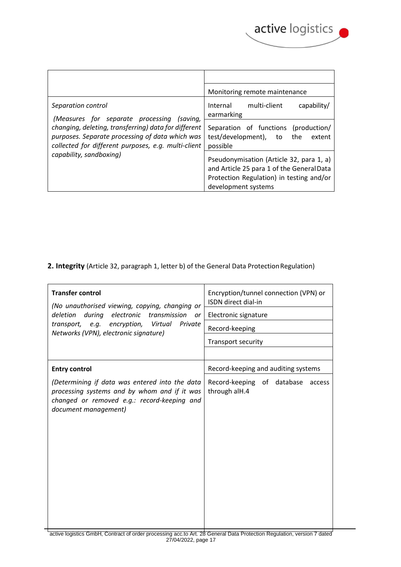

|                                                                                                                                                                | Monitoring remote maintenance                                                                                                                            |
|----------------------------------------------------------------------------------------------------------------------------------------------------------------|----------------------------------------------------------------------------------------------------------------------------------------------------------|
| Separation control<br>(Measures for separate processing (saving,                                                                                               | Internal<br>multi-client<br>capability/<br>earmarking                                                                                                    |
| changing, deleting, transferring) data for different<br>purposes. Separate processing of data which was<br>collected for different purposes, e.g. multi-client | Separation of functions (production/<br>test/development), to the<br>extent<br>possible                                                                  |
| capability, sandboxing)                                                                                                                                        | Pseudonymisation (Article 32, para 1, a)<br>and Article 25 para 1 of the General Data<br>Protection Regulation) in testing and/or<br>development systems |

### 2. Integrity (Article 32, paragraph 1, letter b) of the General Data Protection Regulation)

| <b>Transfer control</b><br>(No unauthorised viewing, copying, changing or<br>during electronic transmission<br>deletion<br>or<br>transport, e.g. encryption, Virtual Private<br>Networks (VPN), electronic signature) | Encryption/tunnel connection (VPN) or<br>ISDN direct dial-in<br>Electronic signature<br>Record-keeping<br>Transport security |
|-----------------------------------------------------------------------------------------------------------------------------------------------------------------------------------------------------------------------|------------------------------------------------------------------------------------------------------------------------------|
| <b>Entry control</b>                                                                                                                                                                                                  | Record-keeping and auditing systems                                                                                          |
| (Determining if data was entered into the data<br>processing systems and by whom and if it was<br>changed or removed e.g.: record-keeping and<br>document management)<br>$\sim$ $\sim$ $\sim$ $\sim$                  | Record-keeping of database<br>access<br>through alH.4                                                                        |